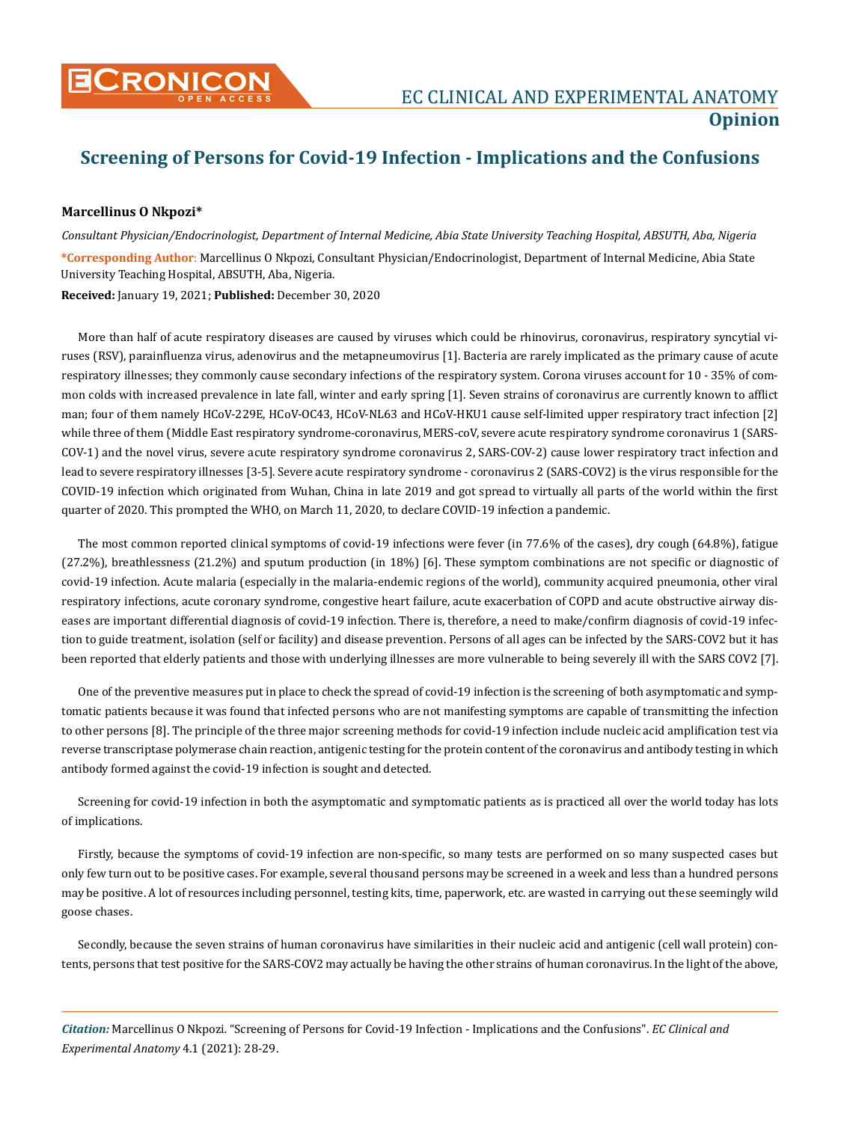

## **Screening of Persons for Covid-19 Infection - Implications and the Confusions**

## **Marcellinus O Nkpozi\***

*Consultant Physician/Endocrinologist, Department of Internal Medicine, Abia State University Teaching Hospital, ABSUTH, Aba, Nigeria*  **\*Corresponding Author**: Marcellinus O Nkpozi, Consultant Physician/Endocrinologist, Department of Internal Medicine, Abia State University Teaching Hospital, ABSUTH, Aba, Nigeria. **Received:** January 19, 2021; **Published:** December 30, 2020

More than half of acute respiratory diseases are caused by viruses which could be rhinovirus, coronavirus, respiratory syncytial viruses (RSV), parainfluenza virus, adenovirus and the metapneumovirus [1]. Bacteria are rarely implicated as the primary cause of acute respiratory illnesses; they commonly cause secondary infections of the respiratory system. Corona viruses account for 10 - 35% of common colds with increased prevalence in late fall, winter and early spring [1]. Seven strains of coronavirus are currently known to afflict man; four of them namely HCoV-229E, HCoV-OC43, HCoV-NL63 and HCoV-HKU1 cause self-limited upper respiratory tract infection [2] while three of them (Middle East respiratory syndrome-coronavirus, MERS-coV, severe acute respiratory syndrome coronavirus 1 (SARS-COV-1) and the novel virus, severe acute respiratory syndrome coronavirus 2, SARS-COV-2) cause lower respiratory tract infection and lead to severe respiratory illnesses [3-5]. Severe acute respiratory syndrome - coronavirus 2 (SARS-COV2) is the virus responsible for the COVID-19 infection which originated from Wuhan, China in late 2019 and got spread to virtually all parts of the world within the first quarter of 2020. This prompted the WHO, on March 11, 2020, to declare COVID-19 infection a pandemic.

The most common reported clinical symptoms of covid-19 infections were fever (in 77.6% of the cases), dry cough (64.8%), fatigue (27.2%), breathlessness (21.2%) and sputum production (in 18%) [6]. These symptom combinations are not specific or diagnostic of covid-19 infection. Acute malaria (especially in the malaria-endemic regions of the world), community acquired pneumonia, other viral respiratory infections, acute coronary syndrome, congestive heart failure, acute exacerbation of COPD and acute obstructive airway diseases are important differential diagnosis of covid-19 infection. There is, therefore, a need to make/confirm diagnosis of covid-19 infection to guide treatment, isolation (self or facility) and disease prevention. Persons of all ages can be infected by the SARS-COV2 but it has been reported that elderly patients and those with underlying illnesses are more vulnerable to being severely ill with the SARS COV2 [7].

One of the preventive measures put in place to check the spread of covid-19 infection is the screening of both asymptomatic and symptomatic patients because it was found that infected persons who are not manifesting symptoms are capable of transmitting the infection to other persons [8]. The principle of the three major screening methods for covid-19 infection include nucleic acid amplification test via reverse transcriptase polymerase chain reaction, antigenic testing for the protein content of the coronavirus and antibody testing in which antibody formed against the covid-19 infection is sought and detected.

Screening for covid-19 infection in both the asymptomatic and symptomatic patients as is practiced all over the world today has lots of implications.

Firstly, because the symptoms of covid-19 infection are non-specific, so many tests are performed on so many suspected cases but only few turn out to be positive cases. For example, several thousand persons may be screened in a week and less than a hundred persons may be positive. A lot of resources including personnel, testing kits, time, paperwork, etc. are wasted in carrying out these seemingly wild goose chases.

Secondly, because the seven strains of human coronavirus have similarities in their nucleic acid and antigenic (cell wall protein) contents, persons that test positive for the SARS-COV2 may actually be having the other strains of human coronavirus. In the light of the above,

*Citation:* Marcellinus O Nkpozi*.* "Screening of Persons for Covid-19 Infection - Implications and the Confusions". *EC Clinical and Experimental Anatomy* 4.1 (2021): 28-29.